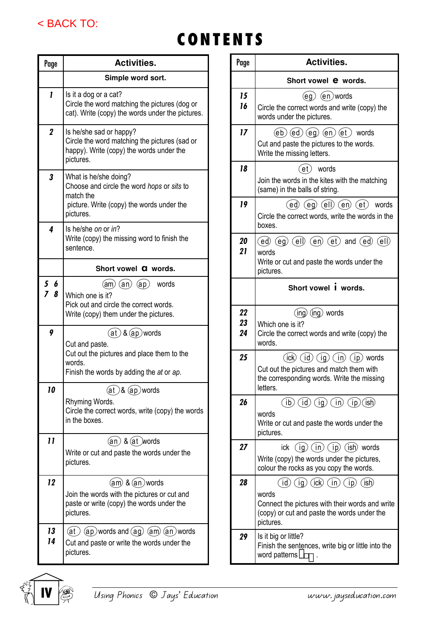

## CONTENTS

| Page             | <b>Activities.</b>                                                                                                                          |  |  |  |  |  |  |
|------------------|---------------------------------------------------------------------------------------------------------------------------------------------|--|--|--|--|--|--|
|                  | Simple word sort.                                                                                                                           |  |  |  |  |  |  |
| I                | Is it a dog or a cat?<br>Circle the word matching the pictures (dog or<br>cat). Write (copy) the words under the pictures.                  |  |  |  |  |  |  |
| $\boldsymbol{2}$ | Is he/she sad or happy?<br>Circle the word matching the pictures (sad or<br>happy). Write (copy) the words under the<br>pictures.           |  |  |  |  |  |  |
| 3                | What is he/she doing?<br>Choose and circle the word hops or sits to<br>match the<br>picture. Write (copy) the words under the<br>pictures.  |  |  |  |  |  |  |
| 4                | Is he/she on or in?<br>Write (copy) the missing word to finish the<br>sentence.                                                             |  |  |  |  |  |  |
|                  | Short vowel <b>a</b> words.                                                                                                                 |  |  |  |  |  |  |
| 5<br>6<br>8<br>7 | $(am)(an)(ap)$ words<br>Which one is it?<br>Pick out and circle the correct words.<br>Write (copy) them under the pictures.                 |  |  |  |  |  |  |
| 9                | $(at)$ & $(ap)$ words<br>Cut and paste.<br>Cut out the pictures and place them to the<br>words.<br>Finish the words by adding the at or ap. |  |  |  |  |  |  |
| 10               | (at )& (ap)words<br>Rhyming Words.<br>Circle the correct words, write (copy) the words<br>in the boxes.                                     |  |  |  |  |  |  |
| 11               | $(an)$ & $(at)$ words<br>Write or cut and paste the words under the<br>pictures.                                                            |  |  |  |  |  |  |
| 12               | $(am)$ & $(an)$ words<br>Join the words with the pictures or cut and<br>paste or write (copy) the words under the<br>pictures.              |  |  |  |  |  |  |
| 13<br>14         | $(at)$ (ap) words and (ag) $(am)$ (an) words<br>Cut and paste or write the words under the<br>pictures.                                     |  |  |  |  |  |  |

| Page           | <b>Activities.</b>                                                                                                                                                               |  |  |  |  |  |  |
|----------------|----------------------------------------------------------------------------------------------------------------------------------------------------------------------------------|--|--|--|--|--|--|
|                | Short vowel <b>e</b> words.                                                                                                                                                      |  |  |  |  |  |  |
| 15<br>16       | $(eg)$ $(en)$ words<br>Circle the correct words and write (copy) the<br>words under the pictures.                                                                                |  |  |  |  |  |  |
| 17             | $(eb)$ $(ed)$ $(eg)$ $(en)$ $(et)$ words<br>Cut and paste the pictures to the words.<br>Write the missing letters.                                                               |  |  |  |  |  |  |
| 18             | (et)<br>words<br>Join the words in the kites with the matching<br>(same) in the balls of string.                                                                                 |  |  |  |  |  |  |
| 19             | (ed) (eg) (ell) (en) (et) words<br>Circle the correct words, write the words in the<br>boxes.                                                                                    |  |  |  |  |  |  |
| 20<br>21       | $(ed)$ $(eq)$ $(cl)$ $(el)$ $(en)$ $(ct)$ and $(ed)$ $(cl)$<br>words<br>Write or cut and paste the words under the<br>pictures.                                                  |  |  |  |  |  |  |
|                | Short vowel <i>i</i> words.                                                                                                                                                      |  |  |  |  |  |  |
| 22<br>23<br>24 | (ing) (ing) words<br>Which one is it?<br>Circle the correct words and write (copy) the<br>words.                                                                                 |  |  |  |  |  |  |
| 25             | $(ick)$ $(id)$ $(ig)$ $(in)$ $(ip)$ words<br>Cut out the pictures and match them with<br>the corresponding words. Write the missing<br>letters.                                  |  |  |  |  |  |  |
| 26             | $\overline{(ib)}$ $\overline{(id)}$ $\overline{(ig)}$ $\overline{(in)}$ $\overline{(ip)}$ $\overline{(ish)}$<br>words<br>Write or cut and paste the words under the<br>pictures. |  |  |  |  |  |  |
| 27             | ick $(ig)(in)(ip)(ish)$ words<br>Write (copy) the words under the pictures,<br>colour the rocks as you copy the words.                                                           |  |  |  |  |  |  |
| 28             | $(id)$ (ig) (ick) (in) (ip) (ish)<br>words<br>Connect the pictures with their words and write<br>(copy) or cut and paste the words under the<br>pictures.                        |  |  |  |  |  |  |
| 29             | Is it big or little?<br>Finish the sentences, write big or little into the<br>word patterns                                                                                      |  |  |  |  |  |  |

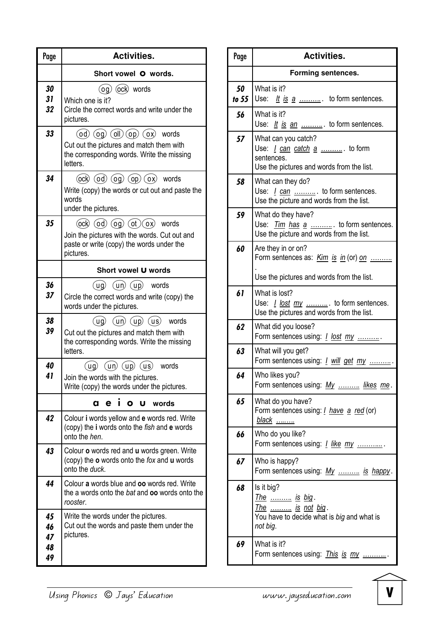| Page                       | <b>Activities.</b>                                                                                                                                                       |  |  |  |  |  |  |
|----------------------------|--------------------------------------------------------------------------------------------------------------------------------------------------------------------------|--|--|--|--|--|--|
|                            | Short vowel O words.                                                                                                                                                     |  |  |  |  |  |  |
| 30<br>31<br>32             | $($ og $)$ $($ ock $)$ words<br>Which one is it?<br>Circle the correct words and write under the<br>pictures.                                                            |  |  |  |  |  |  |
| 33                         | $(od)$ $(og)$ $(oll)$ $(op)$ $(ox)$ words<br>Cut out the pictures and match them with<br>the corresponding words. Write the missing<br>letters.                          |  |  |  |  |  |  |
| 34                         | $(ock)$ $(od)$ $(og)$ $(op)$ $(ox)$ words<br>Write (copy) the words or cut out and paste the<br>words<br>under the pictures.                                             |  |  |  |  |  |  |
| 35                         | $($ ock $)$ $($ od $)$ $($ og $)$ $($ ot $)$ $($ ox $)$ words<br>Join the pictures with the words. Cut out and<br>paste or write (copy) the words under the<br>pictures. |  |  |  |  |  |  |
|                            | Short vowel U words                                                                                                                                                      |  |  |  |  |  |  |
| 36<br>37                   | $(ug)$ $(un)$ $(up)$ words<br>Circle the correct words and write (copy) the<br>words under the pictures.                                                                 |  |  |  |  |  |  |
| 38<br>39                   | $(ug)$ $(un)$ $(up)$ $(us)$ words<br>Cut out the pictures and match them with<br>the corresponding words. Write the missing<br>letters.                                  |  |  |  |  |  |  |
| 40<br>41                   | $(un)$ $(up)$ $(us)$ words<br>ug)<br>Join the words with the pictures.<br>Write (copy) the words under the pictures.                                                     |  |  |  |  |  |  |
|                            | $\blacksquare$<br>a e<br>$\bullet$<br>U<br>words                                                                                                                         |  |  |  |  |  |  |
| 42                         | Colour i words yellow and e words red. Write<br>(copy) the i words onto the fish and e words<br>onto the hen.                                                            |  |  |  |  |  |  |
| 43                         | Colour <b>o</b> words red and <b>u</b> words green. Write<br>(copy) the <b>o</b> words onto the fox and <b>u</b> words<br>onto the duck.                                 |  |  |  |  |  |  |
| 44                         | Colour a words blue and oo words red. Write<br>the a words onto the bat and oo words onto the<br>rooster.                                                                |  |  |  |  |  |  |
| 45<br>46<br>47<br>48<br>49 | Write the words under the pictures.<br>Cut out the words and paste them under the<br>pictures.                                                                           |  |  |  |  |  |  |

| Page          | <b>Activities.</b>                                                                                                      |  |  |  |  |  |
|---------------|-------------------------------------------------------------------------------------------------------------------------|--|--|--|--|--|
|               | <b>Forming sentences.</b>                                                                                               |  |  |  |  |  |
| 50<br>to $55$ | What is it?<br>Use: $\underline{It}$ is $\underline{a}$ to form sentences.                                              |  |  |  |  |  |
| 56            | What is it?<br>Use: It is an  to form sentences.                                                                        |  |  |  |  |  |
| 57            | What can you catch?<br>Use: <i>I can catch a </i> . to form<br>sentences.<br>Use the pictures and words from the list.  |  |  |  |  |  |
| 58            | What can they do?<br><i>l</i> can  to form sentences.<br>Use:<br>Use the picture and words from the list.               |  |  |  |  |  |
| 59            | What do they have?<br>Use: <i>Tim has a </i> to form sentences.<br>Use the picture and words from the list.             |  |  |  |  |  |
| 60            | Are they in or on?<br>Form sentences as: Kim is in (or) on<br>Use the pictures and words from the list.                 |  |  |  |  |  |
| 61            | What is lost?<br>Use: <i>I lost my </i> . to form sentences.<br>Use the pictures and words from the list.               |  |  |  |  |  |
| 62            | What did you loose?<br>Form sentences using: <i>I lost my </i> .                                                        |  |  |  |  |  |
| 63            | What will you get?<br>Form sentences using: <i>I will get my </i> .                                                     |  |  |  |  |  |
| 64            | Who likes you?<br>Form sentences using: My  likes me.                                                                   |  |  |  |  |  |
| 65            | What do you have?<br>Form sentences using: <i>I have a red</i> (or)<br><u>black </u>                                    |  |  |  |  |  |
| 66            | Who do you like?<br>Form sentences using: <i>I like my </i> .                                                           |  |  |  |  |  |
| 67            | Who is happy?<br>Form sentences using: My  is happy.                                                                    |  |  |  |  |  |
| 68            | Is it big?<br><u>The  is big</u> .<br>$\frac{The$ is not big.<br>You have to decide what is big and what is<br>not big. |  |  |  |  |  |
| 69            | What is it?<br>Form sentences using: <i>This is my </i> .                                                               |  |  |  |  |  |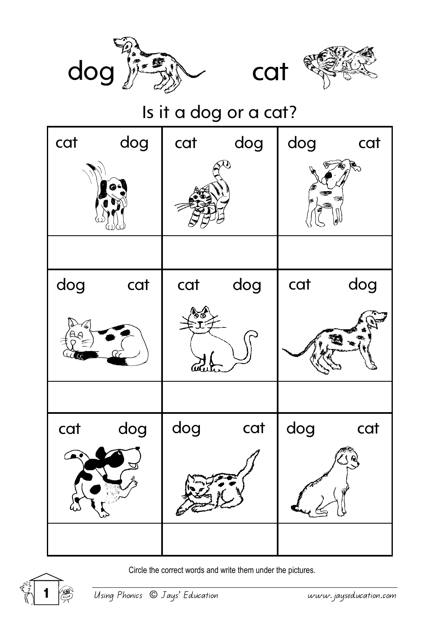





## Is it a dog or a cat?



Circle the correct words and write them under the pictures.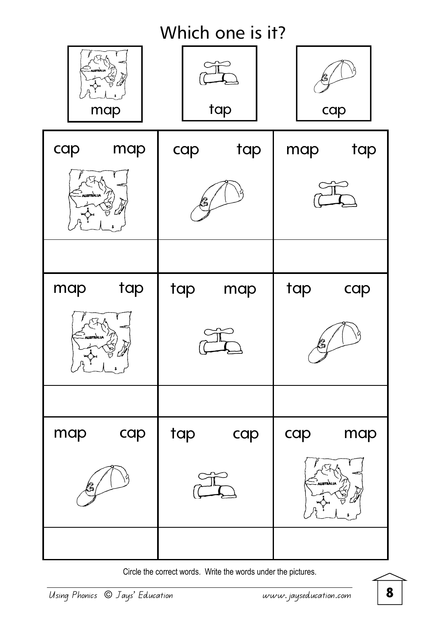

Circle the correct words. Write the words under the pictures.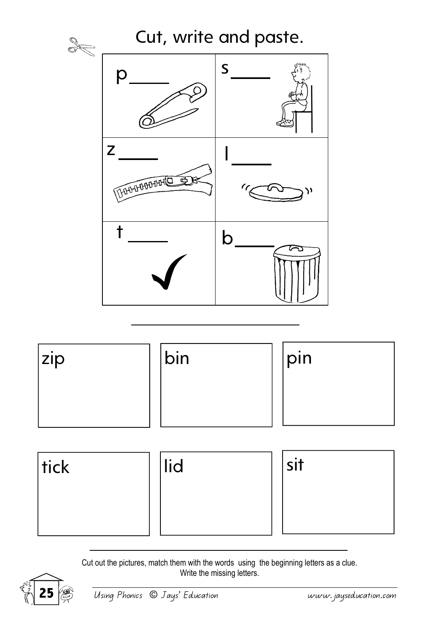



Cut out the pictures, match them with the words using the beginning letters as a clue. Write the missing letters.

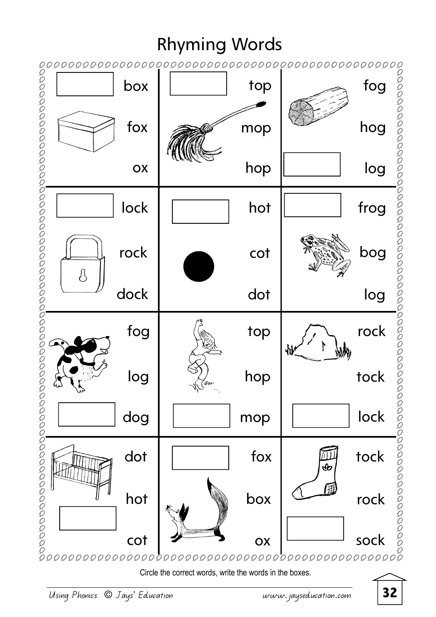## Rhyming Words



Circle the correct words, write the words in the boxes.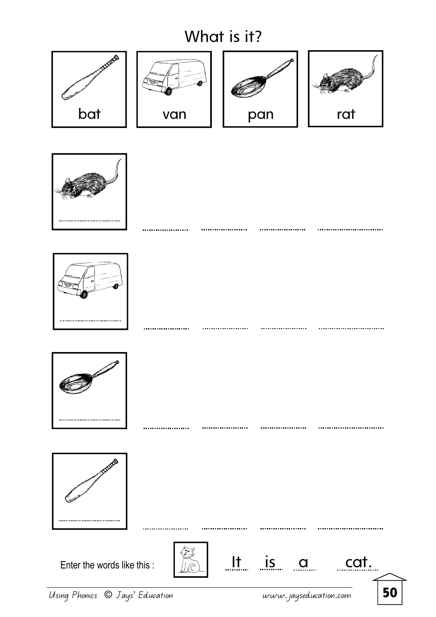## What is it?







.....................



.............................

..............................

.............................

............................









Enter the words like this :  $\left|\begin{matrix} x \\ y \end{matrix}\right|$   $\left|\begin{matrix} 1 \\ 1 \end{matrix}\right|$   $\left|\begin{matrix} 1 \\ 1 \end{matrix}\right|$   $\left|\begin{matrix} 1 \\ 1 \end{matrix}\right|$   $\left|\begin{matrix} 1 \\ 1 \end{matrix}\right|$   $\left|\begin{matrix} 1 \\ 1 \end{matrix}\right|$   $\left|\begin{matrix} 1 \\ 1 \end{matrix}\right|$ 



. . . . . . . . . . . . . . . . .

Using Phonics © Jays' Education www.jayseducation.com 50

. . . . . . . . . . . . . .

. . . . . . . . . . .